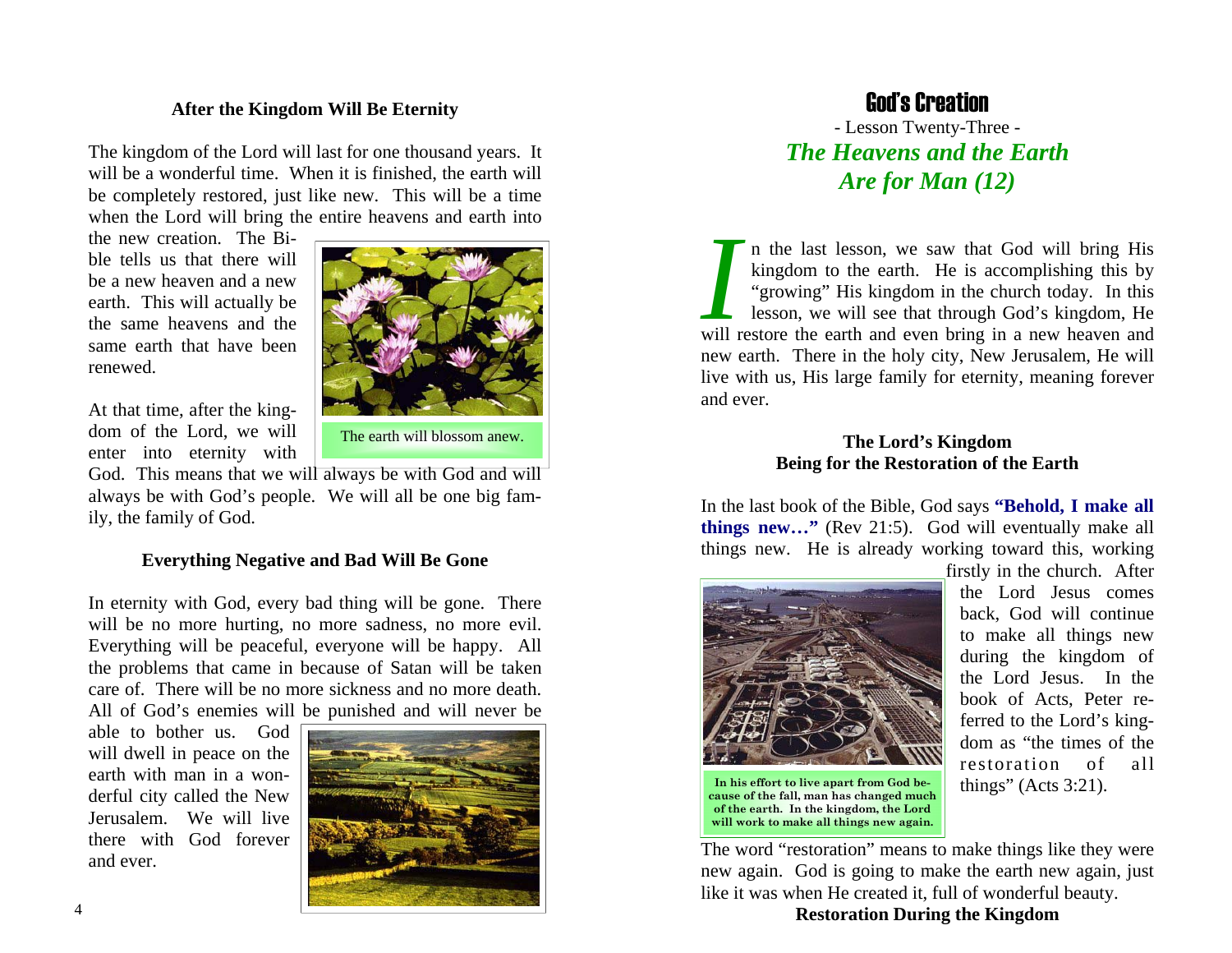#### **After the Kingdom Will Be Eternity**

The kingdom of the Lord will last for one thousand years. It will be a wonderful time. When it is finished, the earth will be completely restored, just like new. This will be a time when the Lord will bring the entire heavens and earth into

the new creation. The Bible tells us that there will be a new heaven and a new earth. This will actually be the same heavens and the same earth that have been renewed.



At that time, after the kingdom of the Lord, we will enter into eternity with

The earth will blossom anew.

God. This means that we will always be with God and will always be with God's people. We will all be one big family, the family of God.

#### **Everything Negative and Bad Will Be Gone**

In eternity with God, every bad thing will be gone. There will be no more hurting, no more sadness, no more evil. Everything will be peaceful, everyone will be happy. All the problems that came in because of Satan will be taken care of. There will be no more sickness and no more death. All of God's enemies will be punished and will never be

able to bother us. God will dwell in peace on the earth with man in a wonderful city called the New Jerusalem. We will live there with God forever and ever.



### God's Creation

- Lesson Twenty-Three - *The Heavens and the Earth Are for Man (12)* 

*I* n the last lesson, we saw that God will bring His kingdom to the earth. He is accomplishing this by "growing" His kingdom in the church today. In this lesson, we will see that through God's kingdom, He will restore the earth and even bring in a new heaven and new earth. There in the holy city, New Jerusalem, He will live with us, His large family for eternity, meaning forever and ever.

#### **The Lord's Kingdom Being for the Restoration of the Earth**

In the last book of the Bible, God says **"Behold, I make all things new…"** (Rev 21:5). God will eventually make all things new. He is already working toward this, working



firstly in the church. After the Lord Jesus comes back, God will continue to make all things new during the kingdom of the Lord Jesus. In the book of Acts, Peter referred to the Lord's kingdom as "the times of the restoration of all things" (Acts 3:21).

The word "restoration" means to make things like they were new again. God is going to make the earth new again, just like it was when He created it, full of wonderful beauty.

**Restoration During the Kingdom**